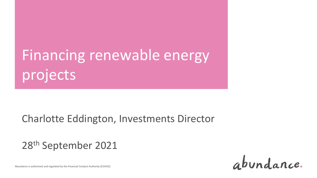# Financing renewable energy projects

#### Charlotte Eddington, Investments Director

#### 28th September 2021

abundance.

Abundance is authorised and regulated by the Financial Conduct Authority (525432)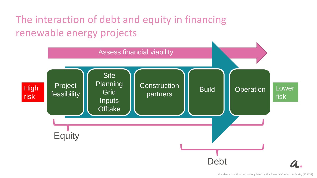# The interaction of debt and equity in financing renewable energy projects

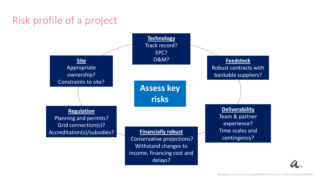# Risk profile of a project

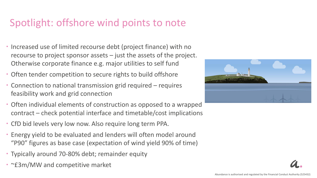#### Spotlight: offshore wind points to note

- Increased use of limited recourse debt (project finance) with no recourse to project sponsor assets – just the assets of the project. Otherwise corporate finance e.g. major utilities to self fund
- Often tender competition to secure rights to build offshore
- Connection to national transmission grid required requires feasibility work and grid connection
- Often individual elements of construction as opposed to a wrapped contract – check potential interface and timetable/cost implications
- CfD bid levels very low now. Also require long term PPA.
- Energy yield to be evaluated and lenders will often model around "P90" figures as base case (expectation of wind yield 90% of time)
- Typically around 70-80% debt; remainder equity
- ~£3m/MW and competitive market

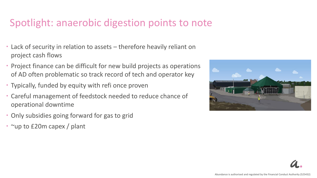#### Spotlight: anaerobic digestion points to note

- Lack of security in relation to assets therefore heavily reliant on project cash flows
- Project finance can be difficult for new build projects as operations of AD often problematic so track record of tech and operator key
- Typically, funded by equity with refi once proven
- Careful management of feedstock needed to reduce chance of operational downtime
- Only subsidies going forward for gas to grid
- ~up to £20m capex / plant

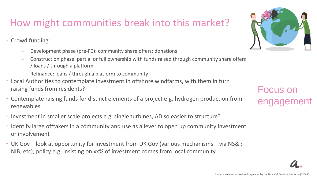## How might communities break into this market?

• Crowd funding:

- Development phase (pre-FC): community share offers; donations
- Construction phase: partial or full ownership with funds raised through community share offers / loans / through a platform
- Refinance: loans / through a platform to community
- Local Authorities to contemplate investment in offshore windfarms, with them in turn raising funds from residents?
- Contemplate raising funds for distinct elements of a project e.g. hydrogen production from renewables
- Investment in smaller scale projects e.g. single turbines, AD so easier to structure?
- Identify large offtakers in a community and use as a lever to open up community investment or involvement
- UK Gov look at opportunity for investment from UK Gov (various mechanisms via NS&I; NIB; etc); policy e.g. insisting on xx% of investment comes from local community



Focus on engagement